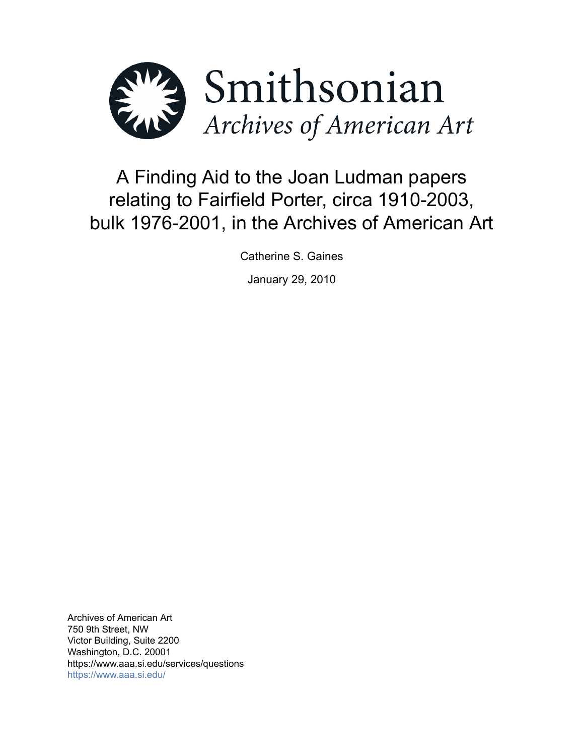

# A Finding Aid to the Joan Ludman papers relating to Fairfield Porter, circa 1910-2003, bulk 1976-2001, in the Archives of American Art

Catherine S. Gaines

January 29, 2010

Archives of American Art 750 9th Street, NW Victor Building, Suite 2200 Washington, D.C. 20001 https://www.aaa.si.edu/services/questions <https://www.aaa.si.edu/>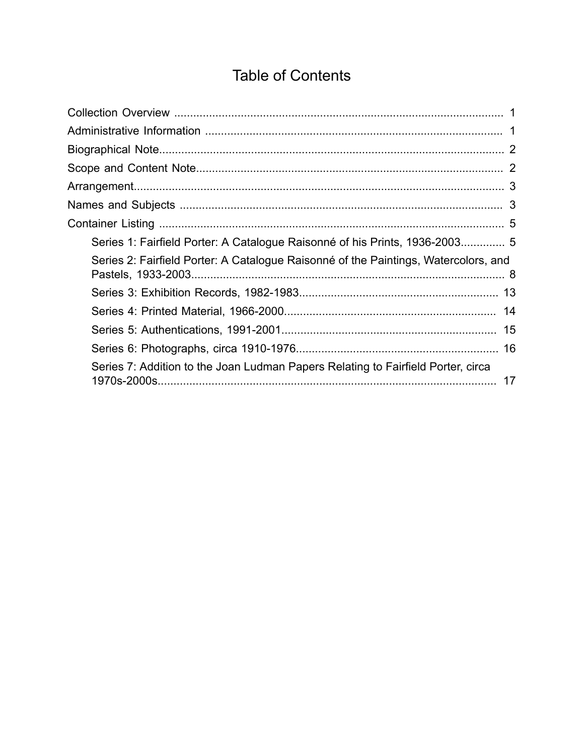# **Table of Contents**

<span id="page-1-0"></span>

| Series 1: Fairfield Porter: A Catalogue Raisonné of his Prints, 1936-2003 5            |  |
|----------------------------------------------------------------------------------------|--|
| Series 2: Fairfield Porter: A Catalogue Raisonné of the Paintings, Watercolors, and    |  |
|                                                                                        |  |
|                                                                                        |  |
|                                                                                        |  |
|                                                                                        |  |
| Series 7: Addition to the Joan Ludman Papers Relating to Fairfield Porter, circa<br>17 |  |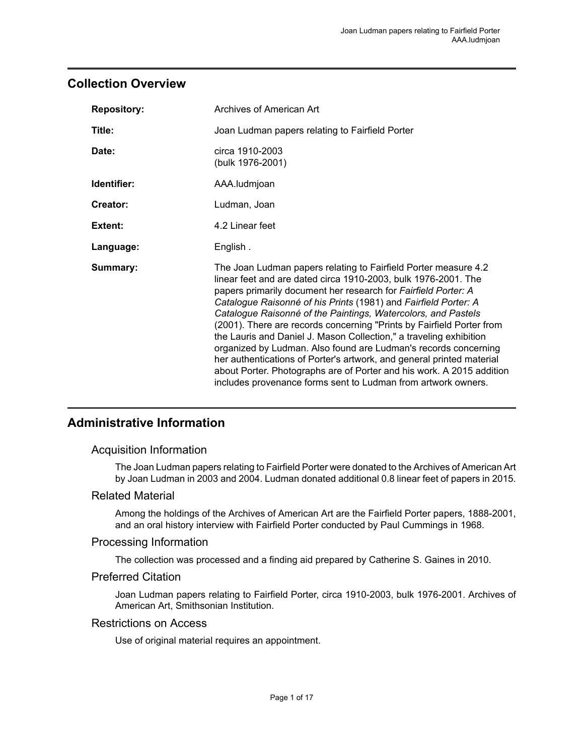### <span id="page-2-0"></span>**Collection Overview**

| <b>Repository:</b> | Archives of American Art                                                                                                                                                                                                                                                                                                                                                                                                                                                                                                                                                                                                                                                                                                                                                     |
|--------------------|------------------------------------------------------------------------------------------------------------------------------------------------------------------------------------------------------------------------------------------------------------------------------------------------------------------------------------------------------------------------------------------------------------------------------------------------------------------------------------------------------------------------------------------------------------------------------------------------------------------------------------------------------------------------------------------------------------------------------------------------------------------------------|
| Title:             | Joan Ludman papers relating to Fairfield Porter                                                                                                                                                                                                                                                                                                                                                                                                                                                                                                                                                                                                                                                                                                                              |
| Date:              | circa 1910-2003<br>(bulk 1976-2001)                                                                                                                                                                                                                                                                                                                                                                                                                                                                                                                                                                                                                                                                                                                                          |
| Identifier:        | AAA.ludmjoan                                                                                                                                                                                                                                                                                                                                                                                                                                                                                                                                                                                                                                                                                                                                                                 |
| Creator:           | Ludman, Joan                                                                                                                                                                                                                                                                                                                                                                                                                                                                                                                                                                                                                                                                                                                                                                 |
| Extent:            | 4.2 Linear feet                                                                                                                                                                                                                                                                                                                                                                                                                                                                                                                                                                                                                                                                                                                                                              |
| Language:          | English.                                                                                                                                                                                                                                                                                                                                                                                                                                                                                                                                                                                                                                                                                                                                                                     |
| Summary:           | The Joan Ludman papers relating to Fairfield Porter measure 4.2<br>linear feet and are dated circa 1910-2003, bulk 1976-2001. The<br>papers primarily document her research for Fairfield Porter: A<br>Catalogue Raisonné of his Prints (1981) and Fairfield Porter: A<br>Catalogue Raisonné of the Paintings, Watercolors, and Pastels<br>(2001). There are records concerning "Prints by Fairfield Porter from<br>the Lauris and Daniel J. Mason Collection," a traveling exhibition<br>organized by Ludman. Also found are Ludman's records concerning<br>her authentications of Porter's artwork, and general printed material<br>about Porter. Photographs are of Porter and his work. A 2015 addition<br>includes provenance forms sent to Ludman from artwork owners. |

### <span id="page-2-1"></span>**Administrative Information**

### Acquisition Information

The Joan Ludman papers relating to Fairfield Porter were donated to the Archives of American Art by Joan Ludman in 2003 and 2004. Ludman donated additional 0.8 linear feet of papers in 2015.

### Related Material

Among the holdings of the Archives of American Art are the Fairfield Porter papers, 1888-2001, and an oral history interview with Fairfield Porter conducted by Paul Cummings in 1968.

### Processing Information

The collection was processed and a finding aid prepared by Catherine S. Gaines in 2010.

### Preferred Citation

Joan Ludman papers relating to Fairfield Porter, circa 1910-2003, bulk 1976-2001. Archives of American Art, Smithsonian Institution.

#### Restrictions on Access

Use of original material requires an appointment.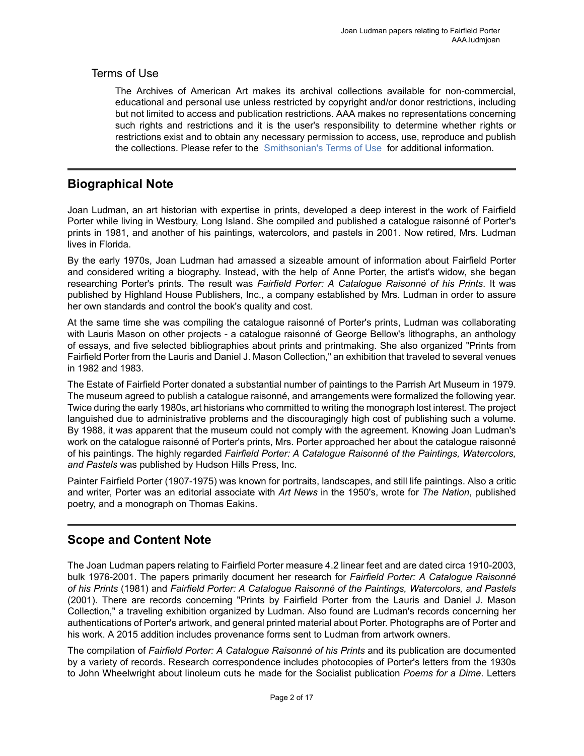### Terms of Use

The Archives of American Art makes its archival collections available for non-commercial, educational and personal use unless restricted by copyright and/or donor restrictions, including but not limited to access and publication restrictions. AAA makes no representations concerning such rights and restrictions and it is the user's responsibility to determine whether rights or restrictions exist and to obtain any necessary permission to access, use, reproduce and publish the collections. Please refer to the [Smithsonian's](https://www.si.edu/termsofuse) Terms of Use for additional information.

### <span id="page-3-0"></span>**Biographical Note**

Joan Ludman, an art historian with expertise in prints, developed a deep interest in the work of Fairfield Porter while living in Westbury, Long Island. She compiled and published a catalogue raisonné of Porter's prints in 1981, and another of his paintings, watercolors, and pastels in 2001. Now retired, Mrs. Ludman lives in Florida.

By the early 1970s, Joan Ludman had amassed a sizeable amount of information about Fairfield Porter and considered writing a biography. Instead, with the help of Anne Porter, the artist's widow, she began researching Porter's prints. The result was *Fairfield Porter: A Catalogue Raisonné of his Prints*. It was published by Highland House Publishers, Inc., a company established by Mrs. Ludman in order to assure her own standards and control the book's quality and cost.

At the same time she was compiling the catalogue raisonné of Porter's prints, Ludman was collaborating with Lauris Mason on other projects - a catalogue raisonné of George Bellow's lithographs, an anthology of essays, and five selected bibliographies about prints and printmaking. She also organized "Prints from Fairfield Porter from the Lauris and Daniel J. Mason Collection," an exhibition that traveled to several venues in 1982 and 1983.

The Estate of Fairfield Porter donated a substantial number of paintings to the Parrish Art Museum in 1979. The museum agreed to publish a catalogue raisonné, and arrangements were formalized the following year. Twice during the early 1980s, art historians who committed to writing the monograph lost interest. The project languished due to administrative problems and the discouragingly high cost of publishing such a volume. By 1988, it was apparent that the museum could not comply with the agreement. Knowing Joan Ludman's work on the catalogue raisonné of Porter's prints, Mrs. Porter approached her about the catalogue raisonné of his paintings. The highly regarded *Fairfield Porter: A Catalogue Raisonné of the Paintings, Watercolors, and Pastels* was published by Hudson Hills Press, Inc.

Painter Fairfield Porter (1907-1975) was known for portraits, landscapes, and still life paintings. Also a critic and writer, Porter was an editorial associate with *Art News* in the 1950's, wrote for *The Nation*, published poetry, and a monograph on Thomas Eakins.

# <span id="page-3-1"></span>**Scope and Content Note**

The Joan Ludman papers relating to Fairfield Porter measure 4.2 linear feet and are dated circa 1910-2003, bulk 1976-2001. The papers primarily document her research for *Fairfield Porter: A Catalogue Raisonné of his Prints* (1981) and *Fairfield Porter: A Catalogue Raisonné of the Paintings, Watercolors, and Pastels* (2001). There are records concerning "Prints by Fairfield Porter from the Lauris and Daniel J. Mason Collection," a traveling exhibition organized by Ludman. Also found are Ludman's records concerning her authentications of Porter's artwork, and general printed material about Porter. Photographs are of Porter and his work. A 2015 addition includes provenance forms sent to Ludman from artwork owners.

The compilation of *Fairfield Porter: A Catalogue Raisonné of his Prints* and its publication are documented by a variety of records. Research correspondence includes photocopies of Porter's letters from the 1930s to John Wheelwright about linoleum cuts he made for the Socialist publication *Poems for a Dime*. Letters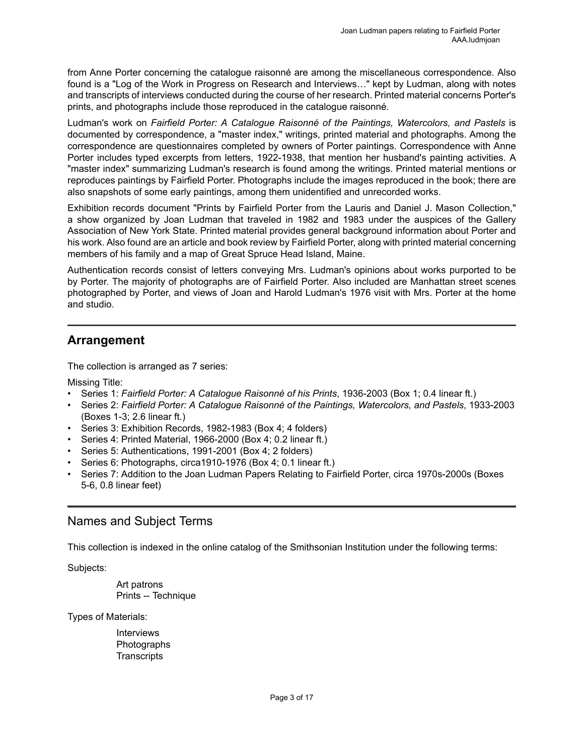from Anne Porter concerning the catalogue raisonné are among the miscellaneous correspondence. Also found is a "Log of the Work in Progress on Research and Interviews…" kept by Ludman, along with notes and transcripts of interviews conducted during the course of her research. Printed material concerns Porter's prints, and photographs include those reproduced in the catalogue raisonné.

Ludman's work on *Fairfield Porter: A Catalogue Raisonné of the Paintings, Watercolors, and Pastels* is documented by correspondence, a "master index," writings, printed material and photographs. Among the correspondence are questionnaires completed by owners of Porter paintings. Correspondence with Anne Porter includes typed excerpts from letters, 1922-1938, that mention her husband's painting activities. A "master index" summarizing Ludman's research is found among the writings. Printed material mentions or reproduces paintings by Fairfield Porter. Photographs include the images reproduced in the book; there are also snapshots of some early paintings, among them unidentified and unrecorded works.

Exhibition records document "Prints by Fairfield Porter from the Lauris and Daniel J. Mason Collection," a show organized by Joan Ludman that traveled in 1982 and 1983 under the auspices of the Gallery Association of New York State. Printed material provides general background information about Porter and his work. Also found are an article and book review by Fairfield Porter, along with printed material concerning members of his family and a map of Great Spruce Head Island, Maine.

Authentication records consist of letters conveying Mrs. Ludman's opinions about works purported to be by Porter. The majority of photographs are of Fairfield Porter. Also included are Manhattan street scenes photographed by Porter, and views of Joan and Harold Ludman's 1976 visit with Mrs. Porter at the home and studio.

### <span id="page-4-0"></span>**Arrangement**

The collection is arranged as 7 series:

Missing Title:

- Series 1: *Fairfield Porter: A Catalogue Raisonné of his Prints*, 1936-2003 (Box 1; 0.4 linear ft.)
- Series 2: *Fairfield Porter: A Catalogue Raisonné of the Paintings, Watercolors, and Pastels*, 1933-2003 (Boxes 1-3; 2.6 linear ft.)
- Series 3: Exhibition Records, 1982-1983 (Box 4; 4 folders)
- Series 4: Printed Material, 1966-2000 (Box 4; 0.2 linear ft.)
- Series 5: Authentications, 1991-2001 (Box 4; 2 folders)
- Series 6: Photographs, circa1910-1976 (Box 4; 0.1 linear ft.)
- Series 7: Addition to the Joan Ludman Papers Relating to Fairfield Porter, circa 1970s-2000s (Boxes 5-6, 0.8 linear feet)

### <span id="page-4-1"></span>Names and Subject Terms

This collection is indexed in the online catalog of the Smithsonian Institution under the following terms:

Subjects:

Art patrons Prints -- Technique

Types of Materials:

**Interviews** Photographs **Transcripts**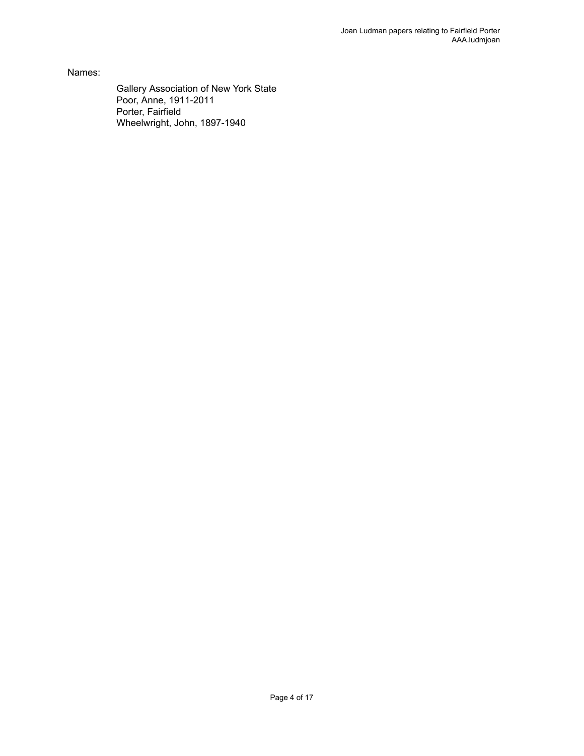Names:

Gallery Association of New York State Poor, Anne, 1911-2011 Porter, Fairfield Wheelwright, John, 1897-1940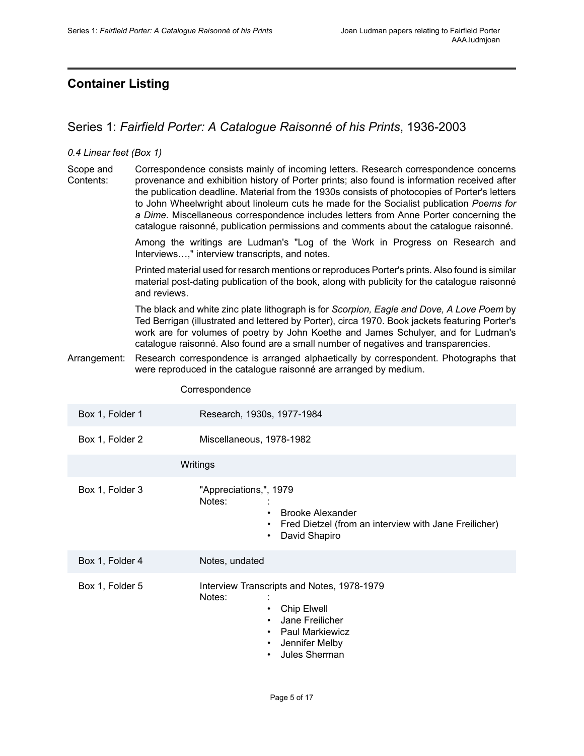## <span id="page-6-0"></span>**Container Listing**

### <span id="page-6-1"></span>Series 1: *Fairfield Porter: A Catalogue Raisonné of his Prints*, 1936-2003

#### *0.4 Linear feet (Box 1)*

Scope and Contents: Correspondence consists mainly of incoming letters. Research correspondence concerns provenance and exhibition history of Porter prints; also found is information received after the publication deadline. Material from the 1930s consists of photocopies of Porter's letters to John Wheelwright about linoleum cuts he made for the Socialist publication *Poems for a Dime*. Miscellaneous correspondence includes letters from Anne Porter concerning the catalogue raisonné, publication permissions and comments about the catalogue raisonné.

> Among the writings are Ludman's "Log of the Work in Progress on Research and Interviews…," interview transcripts, and notes.

> Printed material used for resarch mentions or reproduces Porter's prints. Also found is similar material post-dating publication of the book, along with publicity for the catalogue raisonné and reviews.

> The black and white zinc plate lithograph is for *Scorpion, Eagle and Dove, A Love Poem* by Ted Berrigan (illustrated and lettered by Porter), circa 1970. Book jackets featuring Porter's work are for volumes of poetry by John Koethe and James Schulyer, and for Ludman's catalogue raisonné. Also found are a small number of negatives and transparencies.

Arrangement: Research correspondence is arranged alphaetically by correspondent. Photographs that were reproduced in the catalogue raisonné are arranged by medium.

#### Correspondence

| Box 1, Folder 1 | Research, 1930s, 1977-1984                                                                                                                                                                                    |
|-----------------|---------------------------------------------------------------------------------------------------------------------------------------------------------------------------------------------------------------|
| Box 1, Folder 2 | Miscellaneous, 1978-1982                                                                                                                                                                                      |
|                 | Writings                                                                                                                                                                                                      |
| Box 1, Folder 3 | "Appreciations,", 1979<br>Notes:<br><b>Brooke Alexander</b><br>$\bullet$<br>Fred Dietzel (from an interview with Jane Freilicher)<br>$\bullet$<br>David Shapiro<br>$\bullet$                                  |
| Box 1, Folder 4 | Notes, undated                                                                                                                                                                                                |
| Box 1, Folder 5 | Interview Transcripts and Notes, 1978-1979<br>Notes:<br>Chip Elwell<br>$\bullet$<br>Jane Freilicher<br>$\bullet$<br>Paul Markiewicz<br>$\bullet$<br>Jennifer Melby<br>$\bullet$<br>Jules Sherman<br>$\bullet$ |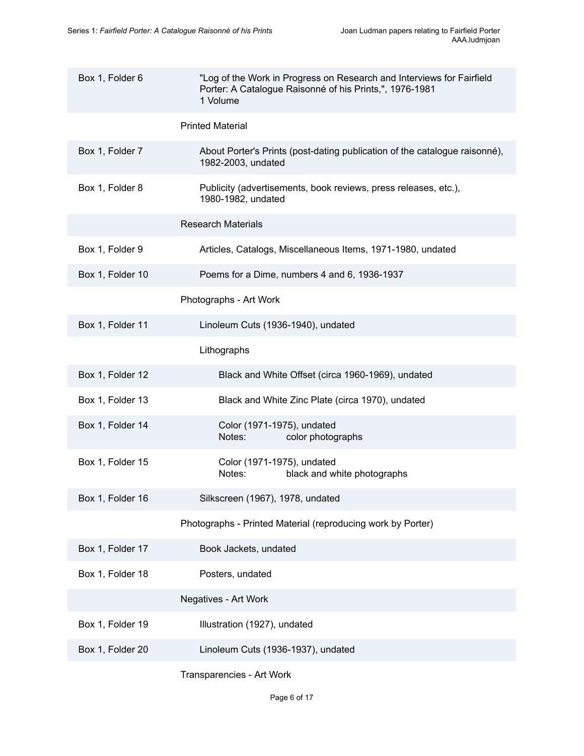| Box 1, Folder 6  | "Log of the Work in Progress on Research and Interviews for Fairfield<br>Porter: A Catalogue Raisonné of his Prints,", 1976-1981<br>1 Volume |
|------------------|----------------------------------------------------------------------------------------------------------------------------------------------|
|                  | <b>Printed Material</b>                                                                                                                      |
| Box 1, Folder 7  | About Porter's Prints (post-dating publication of the catalogue raisonné),<br>1982-2003, undated                                             |
| Box 1, Folder 8  | Publicity (advertisements, book reviews, press releases, etc.),<br>1980-1982, undated                                                        |
|                  | <b>Research Materials</b>                                                                                                                    |
| Box 1, Folder 9  | Articles, Catalogs, Miscellaneous Items, 1971-1980, undated                                                                                  |
| Box 1, Folder 10 | Poems for a Dime, numbers 4 and 6, 1936-1937                                                                                                 |
|                  | Photographs - Art Work                                                                                                                       |
| Box 1, Folder 11 | Linoleum Cuts (1936-1940), undated                                                                                                           |
|                  | Lithographs                                                                                                                                  |
| Box 1, Folder 12 | Black and White Offset (circa 1960-1969), undated                                                                                            |
| Box 1, Folder 13 | Black and White Zinc Plate (circa 1970), undated                                                                                             |
| Box 1, Folder 14 | Color (1971-1975), undated<br>Notes:<br>color photographs                                                                                    |
| Box 1, Folder 15 | Color (1971-1975), undated<br>Notes:<br>black and white photographs                                                                          |
| Box 1, Folder 16 | Silkscreen (1967), 1978, undated                                                                                                             |
|                  | Photographs - Printed Material (reproducing work by Porter)                                                                                  |
| Box 1, Folder 17 | Book Jackets, undated                                                                                                                        |
| Box 1, Folder 18 | Posters, undated                                                                                                                             |
|                  | Negatives - Art Work                                                                                                                         |
| Box 1, Folder 19 | Illustration (1927), undated                                                                                                                 |
| Box 1, Folder 20 | Linoleum Cuts (1936-1937), undated                                                                                                           |
|                  | Transparencies - Art Work                                                                                                                    |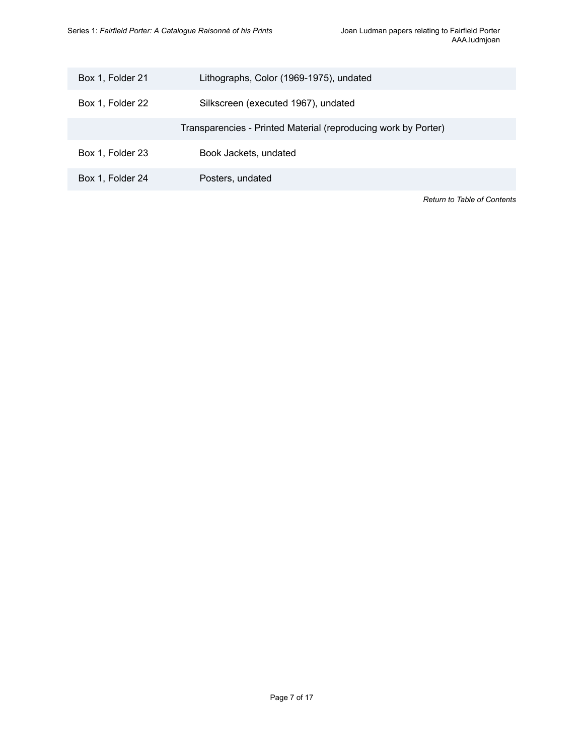| Box 1, Folder 21 | Lithographs, Color (1969-1975), undated                        |
|------------------|----------------------------------------------------------------|
| Box 1, Folder 22 | Silkscreen (executed 1967), undated                            |
|                  | Transparencies - Printed Material (reproducing work by Porter) |
| Box 1, Folder 23 | Book Jackets, undated                                          |
| Box 1, Folder 24 | Posters, undated                                               |
|                  | <b>Return to Table of Contents</b>                             |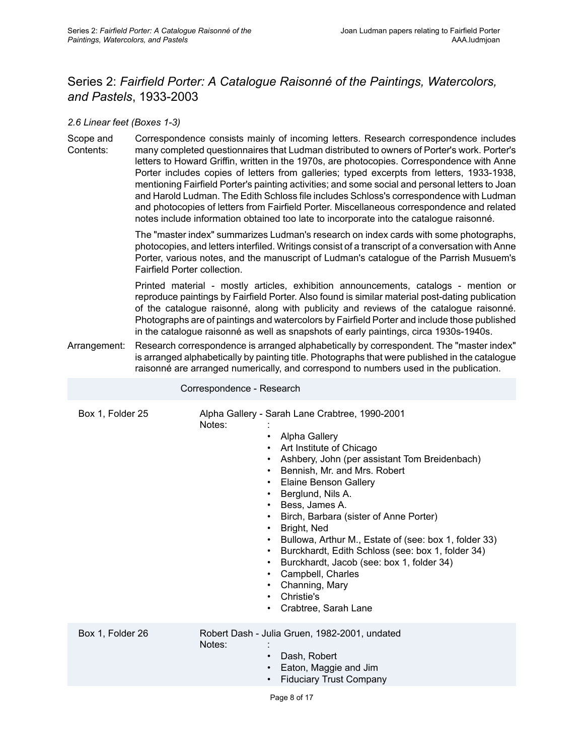# <span id="page-9-0"></span>Series 2: *Fairfield Porter: A Catalogue Raisonné of the Paintings, Watercolors, and Pastels*, 1933-2003

#### *2.6 Linear feet (Boxes 1-3)*

Scope and Contents: Correspondence consists mainly of incoming letters. Research correspondence includes many completed questionnaires that Ludman distributed to owners of Porter's work. Porter's letters to Howard Griffin, written in the 1970s, are photocopies. Correspondence with Anne Porter includes copies of letters from galleries; typed excerpts from letters, 1933-1938, mentioning Fairfield Porter's painting activities; and some social and personal letters to Joan and Harold Ludman. The Edith Schloss file includes Schloss's correspondence with Ludman and photocopies of letters from Fairfield Porter. Miscellaneous correspondence and related notes include information obtained too late to incorporate into the catalogue raisonné.

> The "master index" summarizes Ludman's research on index cards with some photographs, photocopies, and letters interfiled. Writings consist of a transcript of a conversation with Anne Porter, various notes, and the manuscript of Ludman's catalogue of the Parrish Musuem's Fairfield Porter collection.

> Printed material - mostly articles, exhibition announcements, catalogs - mention or reproduce paintings by Fairfield Porter. Also found is similar material post-dating publication of the catalogue raisonné, along with publicity and reviews of the catalogue raisonné. Photographs are of paintings and watercolors by Fairfield Porter and include those published in the catalogue raisonné as well as snapshots of early paintings, circa 1930s-1940s.

Arrangement: Research correspondence is arranged alphabetically by correspondent. The "master index" is arranged alphabetically by painting title. Photographs that were published in the catalogue raisonné are arranged numerically, and correspond to numbers used in the publication.

Correspondence - Research

| Box 1, Folder 25 | Notes: | Alpha Gallery - Sarah Lane Crabtree, 1990-2001<br>Alpha Gallery<br>Art Institute of Chicago<br>Ashbery, John (per assistant Tom Breidenbach)<br>$\bullet$<br>Bennish, Mr. and Mrs. Robert<br>$\bullet$<br><b>Elaine Benson Gallery</b><br>$\bullet$<br>Berglund, Nils A.<br>Bess, James A.<br>Birch, Barbara (sister of Anne Porter)<br>$\bullet$<br>Bright, Ned<br>Bullowa, Arthur M., Estate of (see: box 1, folder 33)<br>Burckhardt, Edith Schloss (see: box 1, folder 34)<br>Burckhardt, Jacob (see: box 1, folder 34)<br>$\bullet$<br>Campbell, Charles<br>$\bullet$<br>Channing, Mary<br>Christie's<br>Crabtree, Sarah Lane |
|------------------|--------|------------------------------------------------------------------------------------------------------------------------------------------------------------------------------------------------------------------------------------------------------------------------------------------------------------------------------------------------------------------------------------------------------------------------------------------------------------------------------------------------------------------------------------------------------------------------------------------------------------------------------------|
| Box 1, Folder 26 | Notes: | Robert Dash - Julia Gruen, 1982-2001, undated<br>Dash, Robert<br>Eaton, Maggie and Jim<br><b>Fiduciary Trust Company</b>                                                                                                                                                                                                                                                                                                                                                                                                                                                                                                           |
|                  |        | Page 8 of 17                                                                                                                                                                                                                                                                                                                                                                                                                                                                                                                                                                                                                       |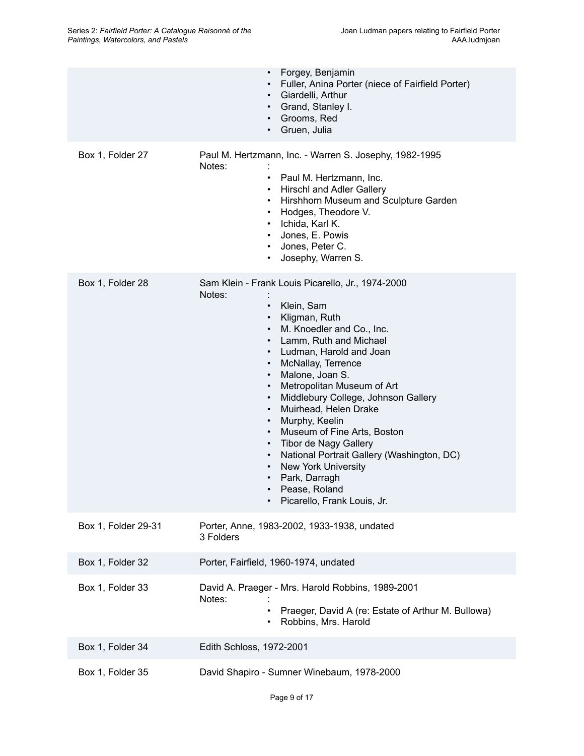|                     | Forgey, Benjamin<br>Fuller, Anina Porter (niece of Fairfield Porter)<br>Giardelli, Arthur<br>$\bullet$<br>Grand, Stanley I.<br>$\bullet$<br>Grooms, Red<br>$\bullet$<br>Gruen, Julia                                                                                                                                                                                                                                                                                                                                                                                                                                                                                                                                                                  |
|---------------------|-------------------------------------------------------------------------------------------------------------------------------------------------------------------------------------------------------------------------------------------------------------------------------------------------------------------------------------------------------------------------------------------------------------------------------------------------------------------------------------------------------------------------------------------------------------------------------------------------------------------------------------------------------------------------------------------------------------------------------------------------------|
| Box 1, Folder 27    | Paul M. Hertzmann, Inc. - Warren S. Josephy, 1982-1995<br>Notes:<br>Paul M. Hertzmann, Inc.<br>$\bullet$<br>Hirschl and Adler Gallery<br>٠<br>Hirshhorn Museum and Sculpture Garden<br>$\bullet$<br>Hodges, Theodore V.<br>$\bullet$<br>Ichida, Karl K.<br>$\bullet$<br>Jones, E. Powis<br>$\bullet$<br>Jones, Peter C.<br>$\bullet$<br>Josephy, Warren S.<br>$\bullet$                                                                                                                                                                                                                                                                                                                                                                               |
| Box 1, Folder 28    | Sam Klein - Frank Louis Picarello, Jr., 1974-2000<br>Notes:<br>Klein, Sam<br>$\bullet$<br>Kligman, Ruth<br>$\bullet$<br>M. Knoedler and Co., Inc.<br>$\bullet$<br>Lamm, Ruth and Michael<br>$\bullet$<br>Ludman, Harold and Joan<br>$\bullet$<br>McNallay, Terrence<br>$\bullet$<br>Malone, Joan S.<br>$\bullet$<br>Metropolitan Museum of Art<br>$\bullet$<br>Middlebury College, Johnson Gallery<br>$\bullet$<br>Muirhead, Helen Drake<br>$\bullet$<br>Murphy, Keelin<br>$\bullet$<br>Museum of Fine Arts, Boston<br>$\bullet$<br>• Tibor de Nagy Gallery<br>National Portrait Gallery (Washington, DC)<br>$\bullet$<br>New York University<br>$\bullet$<br>Park, Darragh<br>$\bullet$<br>Pease, Roland<br>$\bullet$<br>Picarello, Frank Louis, Jr. |
| Box 1, Folder 29-31 | Porter, Anne, 1983-2002, 1933-1938, undated<br>3 Folders                                                                                                                                                                                                                                                                                                                                                                                                                                                                                                                                                                                                                                                                                              |
| Box 1, Folder 32    | Porter, Fairfield, 1960-1974, undated                                                                                                                                                                                                                                                                                                                                                                                                                                                                                                                                                                                                                                                                                                                 |
| Box 1, Folder 33    | David A. Praeger - Mrs. Harold Robbins, 1989-2001<br>Notes:<br>Praeger, David A (re: Estate of Arthur M. Bullowa)<br>Robbins, Mrs. Harold<br>$\bullet$                                                                                                                                                                                                                                                                                                                                                                                                                                                                                                                                                                                                |
| Box 1, Folder 34    | Edith Schloss, 1972-2001                                                                                                                                                                                                                                                                                                                                                                                                                                                                                                                                                                                                                                                                                                                              |
| Box 1, Folder 35    | David Shapiro - Sumner Winebaum, 1978-2000                                                                                                                                                                                                                                                                                                                                                                                                                                                                                                                                                                                                                                                                                                            |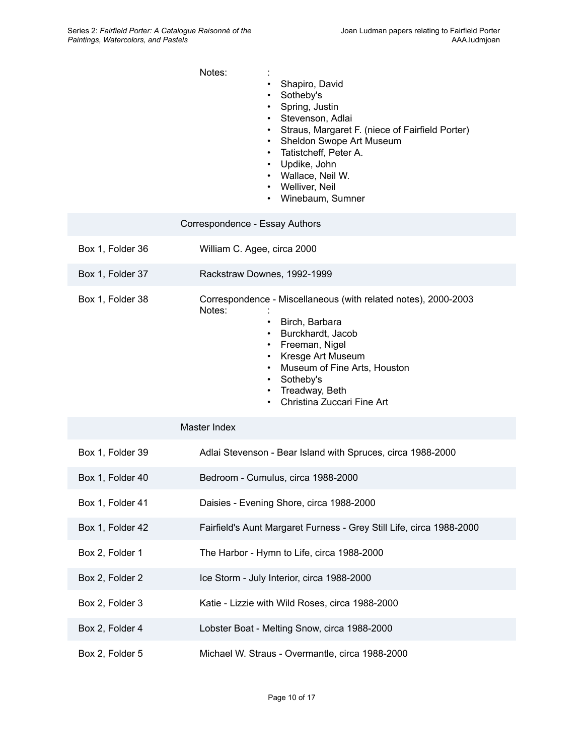|                  | Notes:<br>Shapiro, David<br>Sotheby's<br>$\bullet$<br>Spring, Justin<br>Stevenson, Adlai<br>Straus, Margaret F. (niece of Fairfield Porter)<br>Sheldon Swope Art Museum<br>• Tatistcheff, Peter A.<br>• Updike, John<br>• Wallace, Neil W.<br>• Welliver, Neil<br>• Winebaum, Sumner |
|------------------|--------------------------------------------------------------------------------------------------------------------------------------------------------------------------------------------------------------------------------------------------------------------------------------|
|                  | Correspondence - Essay Authors                                                                                                                                                                                                                                                       |
| Box 1, Folder 36 | William C. Agee, circa 2000                                                                                                                                                                                                                                                          |
| Box 1, Folder 37 | Rackstraw Downes, 1992-1999                                                                                                                                                                                                                                                          |
| Box 1, Folder 38 | Correspondence - Miscellaneous (with related notes), 2000-2003<br>Notes:<br>• Birch, Barbara<br>• Burckhardt, Jacob<br>• Freeman, Nigel<br>Kresge Art Museum<br>Museum of Fine Arts, Houston<br>• Sotheby's<br>• Treadway, Beth<br>• Christina Zuccari Fine Art                      |
|                  | Master Index                                                                                                                                                                                                                                                                         |
| Box 1, Folder 39 | Adlai Stevenson - Bear Island with Spruces, circa 1988-2000                                                                                                                                                                                                                          |
| Box 1, Folder 40 | Bedroom - Cumulus, circa 1988-2000                                                                                                                                                                                                                                                   |
| Box 1, Folder 41 | Daisies - Evening Shore, circa 1988-2000                                                                                                                                                                                                                                             |
| Box 1, Folder 42 | Fairfield's Aunt Margaret Furness - Grey Still Life, circa 1988-2000                                                                                                                                                                                                                 |
| Box 2, Folder 1  | The Harbor - Hymn to Life, circa 1988-2000                                                                                                                                                                                                                                           |
| Box 2, Folder 2  | Ice Storm - July Interior, circa 1988-2000                                                                                                                                                                                                                                           |
| Box 2, Folder 3  | Katie - Lizzie with Wild Roses, circa 1988-2000                                                                                                                                                                                                                                      |
| Box 2, Folder 4  | Lobster Boat - Melting Snow, circa 1988-2000                                                                                                                                                                                                                                         |
| Box 2, Folder 5  | Michael W. Straus - Overmantle, circa 1988-2000                                                                                                                                                                                                                                      |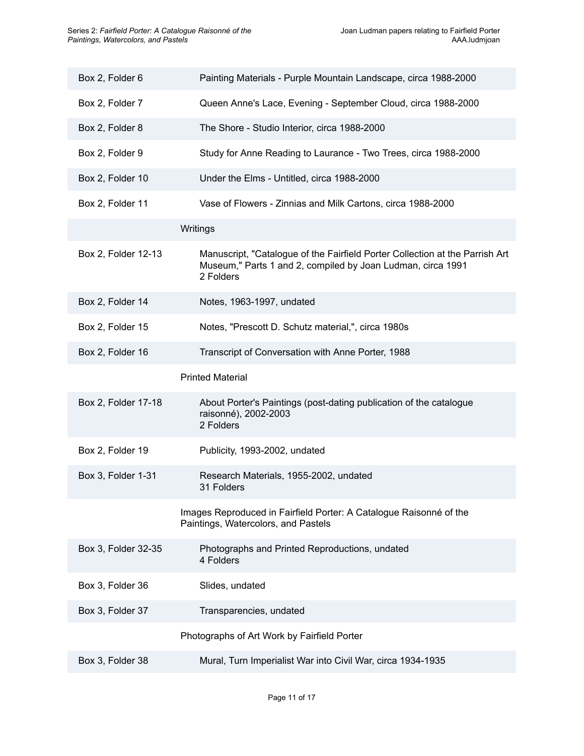| Box 2, Folder 6     | Painting Materials - Purple Mountain Landscape, circa 1988-2000                                                                                          |
|---------------------|----------------------------------------------------------------------------------------------------------------------------------------------------------|
| Box 2, Folder 7     | Queen Anne's Lace, Evening - September Cloud, circa 1988-2000                                                                                            |
| Box 2, Folder 8     | The Shore - Studio Interior, circa 1988-2000                                                                                                             |
| Box 2, Folder 9     | Study for Anne Reading to Laurance - Two Trees, circa 1988-2000                                                                                          |
| Box 2, Folder 10    | Under the Elms - Untitled, circa 1988-2000                                                                                                               |
| Box 2, Folder 11    | Vase of Flowers - Zinnias and Milk Cartons, circa 1988-2000                                                                                              |
|                     | Writings                                                                                                                                                 |
| Box 2, Folder 12-13 | Manuscript, "Catalogue of the Fairfield Porter Collection at the Parrish Art<br>Museum," Parts 1 and 2, compiled by Joan Ludman, circa 1991<br>2 Folders |
| Box 2, Folder 14    | Notes, 1963-1997, undated                                                                                                                                |
| Box 2, Folder 15    | Notes, "Prescott D. Schutz material,", circa 1980s                                                                                                       |
| Box 2, Folder 16    | Transcript of Conversation with Anne Porter, 1988                                                                                                        |
|                     | <b>Printed Material</b>                                                                                                                                  |
| Box 2, Folder 17-18 | About Porter's Paintings (post-dating publication of the catalogue<br>raisonné), 2002-2003<br>2 Folders                                                  |
| Box 2, Folder 19    | Publicity, 1993-2002, undated                                                                                                                            |
| Box 3, Folder 1-31  | Research Materials, 1955-2002, undated<br>31 Folders                                                                                                     |
|                     | Images Reproduced in Fairfield Porter: A Catalogue Raisonné of the<br>Paintings, Watercolors, and Pastels                                                |
| Box 3, Folder 32-35 | Photographs and Printed Reproductions, undated                                                                                                           |
|                     | 4 Folders                                                                                                                                                |
| Box 3, Folder 36    | Slides, undated                                                                                                                                          |
| Box 3, Folder 37    | Transparencies, undated                                                                                                                                  |
|                     | Photographs of Art Work by Fairfield Porter                                                                                                              |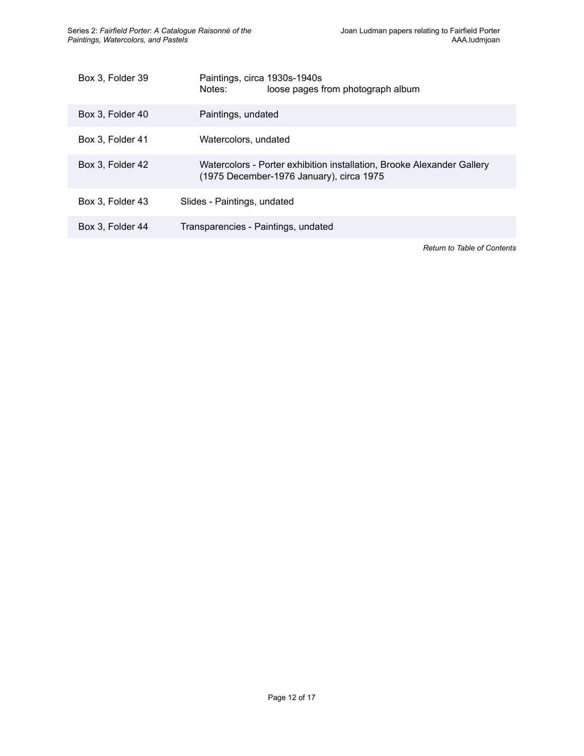| Box 3, Folder 39 | Paintings, circa 1930s-1940s<br>Notes:<br>loose pages from photograph album                                        |
|------------------|--------------------------------------------------------------------------------------------------------------------|
| Box 3, Folder 40 | Paintings, undated                                                                                                 |
| Box 3. Folder 41 | Watercolors, undated                                                                                               |
| Box 3, Folder 42 | Watercolors - Porter exhibition installation, Brooke Alexander Gallery<br>(1975 December-1976 January), circa 1975 |
| Box 3. Folder 43 | Slides - Paintings, undated                                                                                        |
| Box 3, Folder 44 | Transparencies - Paintings, undated                                                                                |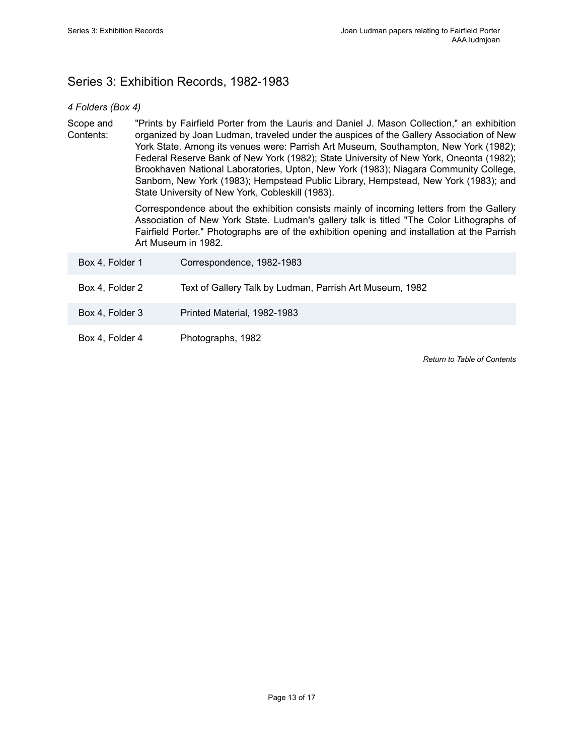# <span id="page-14-0"></span>Series 3: Exhibition Records, 1982-1983

### *4 Folders (Box 4)*

Scope and Contents: "Prints by Fairfield Porter from the Lauris and Daniel J. Mason Collection," an exhibition organized by Joan Ludman, traveled under the auspices of the Gallery Association of New York State. Among its venues were: Parrish Art Museum, Southampton, New York (1982); Federal Reserve Bank of New York (1982); State University of New York, Oneonta (1982); Brookhaven National Laboratories, Upton, New York (1983); Niagara Community College, Sanborn, New York (1983); Hempstead Public Library, Hempstead, New York (1983); and State University of New York, Cobleskill (1983).

> Correspondence about the exhibition consists mainly of incoming letters from the Gallery Association of New York State. Ludman's gallery talk is titled "The Color Lithographs of Fairfield Porter." Photographs are of the exhibition opening and installation at the Parrish Art Museum in 1982.

| Box 4, Folder 1 | Correspondence, 1982-1983                                |
|-----------------|----------------------------------------------------------|
| Box 4, Folder 2 | Text of Gallery Talk by Ludman, Parrish Art Museum, 1982 |
| Box 4, Folder 3 | Printed Material, 1982-1983                              |
| Box 4, Folder 4 | Photographs, 1982                                        |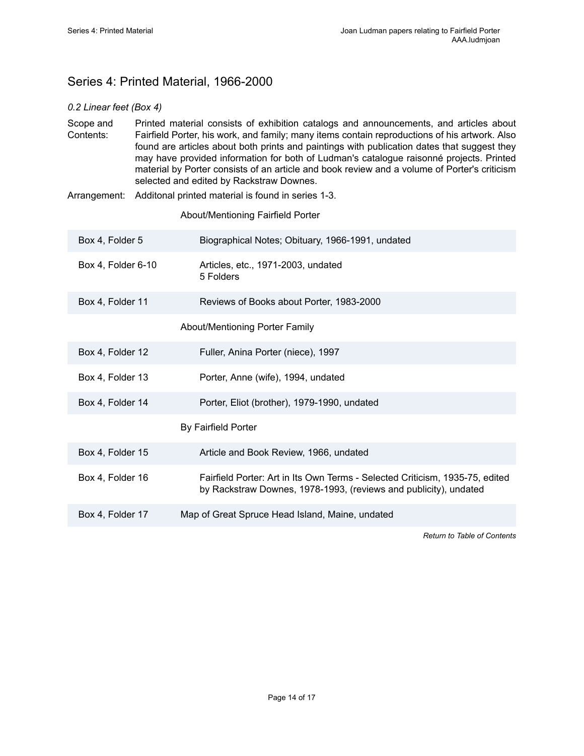# <span id="page-15-0"></span>Series 4: Printed Material, 1966-2000

### *0.2 Linear feet (Box 4)*

Scope and Contents: Printed material consists of exhibition catalogs and announcements, and articles about Fairfield Porter, his work, and family; many items contain reproductions of his artwork. Also found are articles about both prints and paintings with publication dates that suggest they may have provided information for both of Ludman's catalogue raisonné projects. Printed material by Porter consists of an article and book review and a volume of Porter's criticism selected and edited by Rackstraw Downes.

Arrangement: Additonal printed material is found in series 1-3.

About/Mentioning Fairfield Porter

| Box 4, Folder 5    | Biographical Notes; Obituary, 1966-1991, undated                                                                                                 |
|--------------------|--------------------------------------------------------------------------------------------------------------------------------------------------|
| Box 4, Folder 6-10 | Articles, etc., 1971-2003, undated<br>5 Folders                                                                                                  |
| Box 4, Folder 11   | Reviews of Books about Porter, 1983-2000                                                                                                         |
|                    | About/Mentioning Porter Family                                                                                                                   |
| Box 4, Folder 12   | Fuller, Anina Porter (niece), 1997                                                                                                               |
| Box 4, Folder 13   | Porter, Anne (wife), 1994, undated                                                                                                               |
| Box 4, Folder 14   | Porter, Eliot (brother), 1979-1990, undated                                                                                                      |
|                    | By Fairfield Porter                                                                                                                              |
| Box 4, Folder 15   | Article and Book Review, 1966, undated                                                                                                           |
| Box 4, Folder 16   | Fairfield Porter: Art in Its Own Terms - Selected Criticism, 1935-75, edited<br>by Rackstraw Downes, 1978-1993, (reviews and publicity), undated |
| Box 4, Folder 17   | Map of Great Spruce Head Island, Maine, undated                                                                                                  |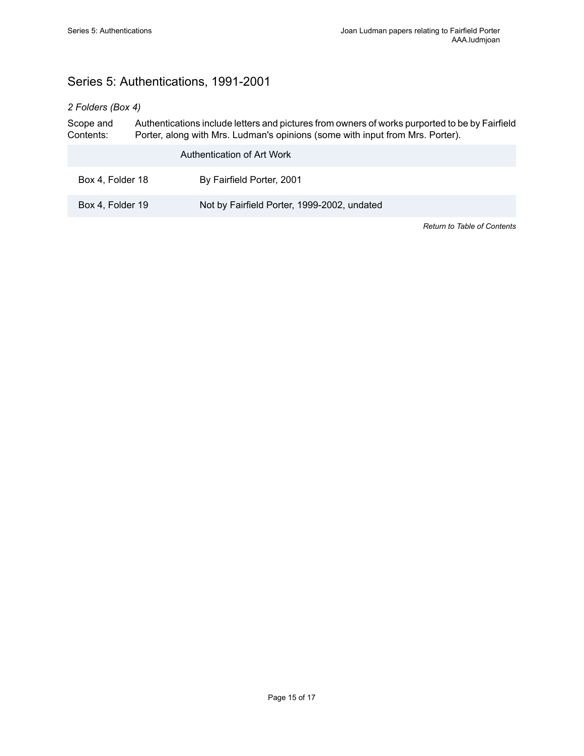# <span id="page-16-0"></span>Series 5: Authentications, 1991-2001

### *2 Folders (Box 4)*

Scope and Contents: Authentications include letters and pictures from owners of works purported to be by Fairfield Porter, along with Mrs. Ludman's opinions (some with input from Mrs. Porter).

|                  | Authentication of Art Work                  |
|------------------|---------------------------------------------|
| Box 4, Folder 18 | By Fairfield Porter, 2001                   |
| Box 4, Folder 19 | Not by Fairfield Porter, 1999-2002, undated |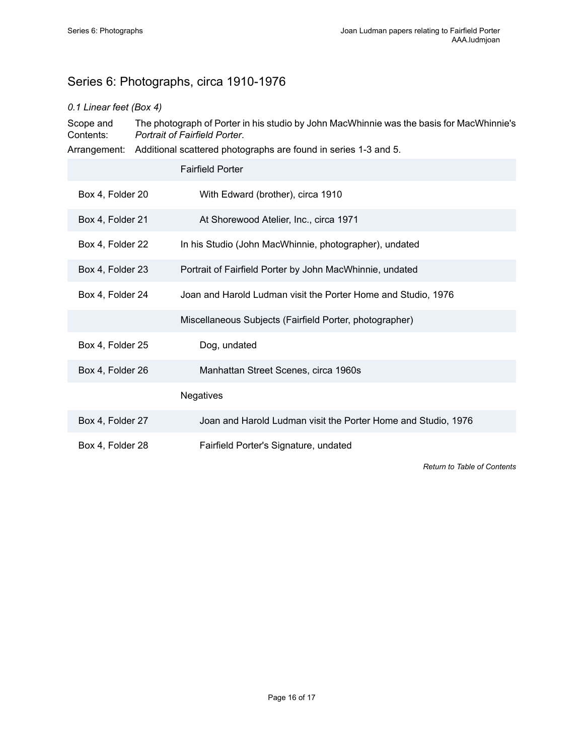# <span id="page-17-0"></span>Series 6: Photographs, circa 1910-1976

### *0.1 Linear feet (Box 4)*

Scope and Contents: The photograph of Porter in his studio by John MacWhinnie was the basis for MacWhinnie's *Portrait of Fairfield Porter*.

|                  | Arrangement: Additional scattered photographs are found in series 1-3 and 5. |
|------------------|------------------------------------------------------------------------------|
|                  | <b>Fairfield Porter</b>                                                      |
| Box 4, Folder 20 | With Edward (brother), circa 1910                                            |
| Box 4, Folder 21 | At Shorewood Atelier, Inc., circa 1971                                       |
| Box 4, Folder 22 | In his Studio (John MacWhinnie, photographer), undated                       |
| Box 4, Folder 23 | Portrait of Fairfield Porter by John MacWhinnie, undated                     |
| Box 4, Folder 24 | Joan and Harold Ludman visit the Porter Home and Studio, 1976                |
|                  | Miscellaneous Subjects (Fairfield Porter, photographer)                      |
| Box 4, Folder 25 | Dog, undated                                                                 |
| Box 4, Folder 26 | Manhattan Street Scenes, circa 1960s                                         |
|                  | <b>Negatives</b>                                                             |
| Box 4, Folder 27 | Joan and Harold Ludman visit the Porter Home and Studio, 1976                |
| Box 4, Folder 28 | Fairfield Porter's Signature, undated                                        |